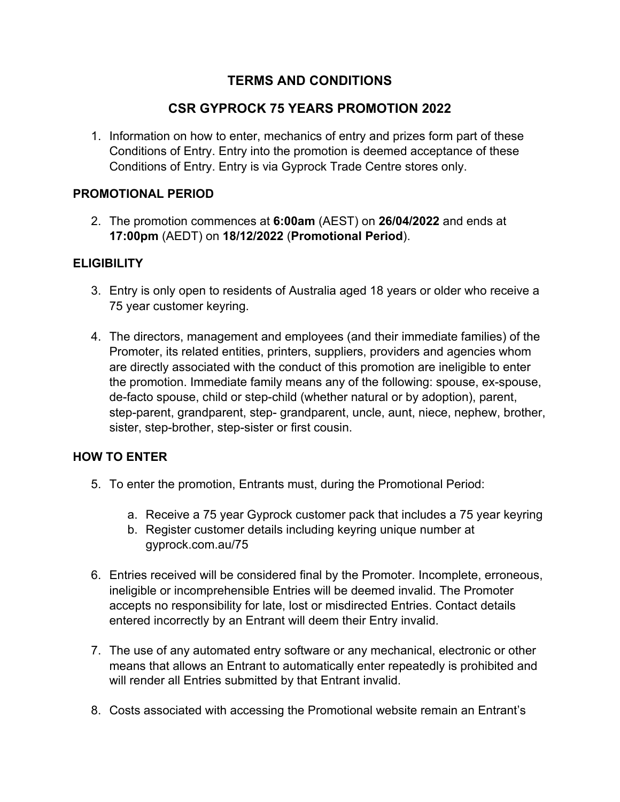# **TERMS AND CONDITIONS**

## **CSR GYPROCK 75 YEARS PROMOTION 2022**

1. Information on how to enter, mechanics of entry and prizes form part of these Conditions of Entry. Entry into the promotion is deemed acceptance of these Conditions of Entry. Entry is via Gyprock Trade Centre stores only.

### **PROMOTIONAL PERIOD**

2. The promotion commences at **6:00am** (AEST) on **26/04/2022** and ends at **17:00pm** (AEDT) on **18/12/2022** (**Promotional Period**).

### **ELIGIBILITY**

- 3. Entry is only open to residents of Australia aged 18 years or older who receive a 75 year customer keyring.
- 4. The directors, management and employees (and their immediate families) of the Promoter, its related entities, printers, suppliers, providers and agencies whom are directly associated with the conduct of this promotion are ineligible to enter the promotion. Immediate family means any of the following: spouse, ex-spouse, de-facto spouse, child or step-child (whether natural or by adoption), parent, step-parent, grandparent, step- grandparent, uncle, aunt, niece, nephew, brother, sister, step-brother, step-sister or first cousin.

## **HOW TO ENTER**

- 5. To enter the promotion, Entrants must, during the Promotional Period:
	- a. Receive a 75 year Gyprock customer pack that includes a 75 year keyring
	- b. Register customer details including keyring unique number at gyprock.com.au/75
- 6. Entries received will be considered final by the Promoter. Incomplete, erroneous, ineligible or incomprehensible Entries will be deemed invalid. The Promoter accepts no responsibility for late, lost or misdirected Entries. Contact details entered incorrectly by an Entrant will deem their Entry invalid.
- 7. The use of any automated entry software or any mechanical, electronic or other means that allows an Entrant to automatically enter repeatedly is prohibited and will render all Entries submitted by that Entrant invalid.
- 8. Costs associated with accessing the Promotional website remain an Entrant's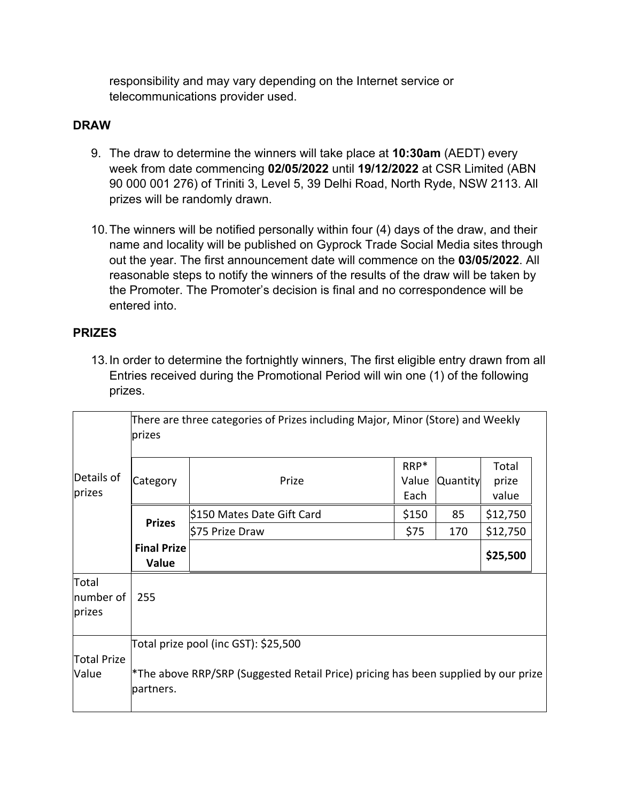responsibility and may vary depending on the Internet service or telecommunications provider used.

#### **DRAW**

- 9. The draw to determine the winners will take place at **10:30am** (AEDT) every week from date commencing **02/05/2022** until **19/12/2022** at CSR Limited (ABN 90 000 001 276) of Triniti 3, Level 5, 39 Delhi Road, North Ryde, NSW 2113. All prizes will be randomly drawn.
- 10.The winners will be notified personally within four (4) days of the draw, and their name and locality will be published on Gyprock Trade Social Media sites through out the year. The first announcement date will commence on the **03/05/2022**. All reasonable steps to notify the winners of the results of the draw will be taken by the Promoter. The Promoter's decision is final and no correspondence will be entered into.

### **PRIZES**

13.In order to determine the fortnightly winners, The first eligible entry drawn from all Entries received during the Promotional Period will win one (1) of the following prizes.

|                              | There are three categories of Prizes including Major, Minor (Store) and Weekly<br>prizes                                                |                            |                       |                 |                         |
|------------------------------|-----------------------------------------------------------------------------------------------------------------------------------------|----------------------------|-----------------------|-----------------|-------------------------|
| Details of<br>prizes         | Category                                                                                                                                | Prize                      | RRP*<br>Value<br>Each | <b>Quantity</b> | Total<br>prize<br>value |
|                              | <b>Prizes</b>                                                                                                                           | \$150 Mates Date Gift Card | \$150                 | 85              | \$12,750                |
|                              |                                                                                                                                         | \$75 Prize Draw            | \$75                  | 170             | \$12,750                |
|                              | <b>Final Prize</b><br>Value                                                                                                             |                            |                       |                 | \$25,500                |
| Total<br>number of<br>prizes | 255                                                                                                                                     |                            |                       |                 |                         |
| <b>Total Prize</b><br>Value  | Total prize pool (inc GST): \$25,500<br>*The above RRP/SRP (Suggested Retail Price) pricing has been supplied by our prize<br>partners. |                            |                       |                 |                         |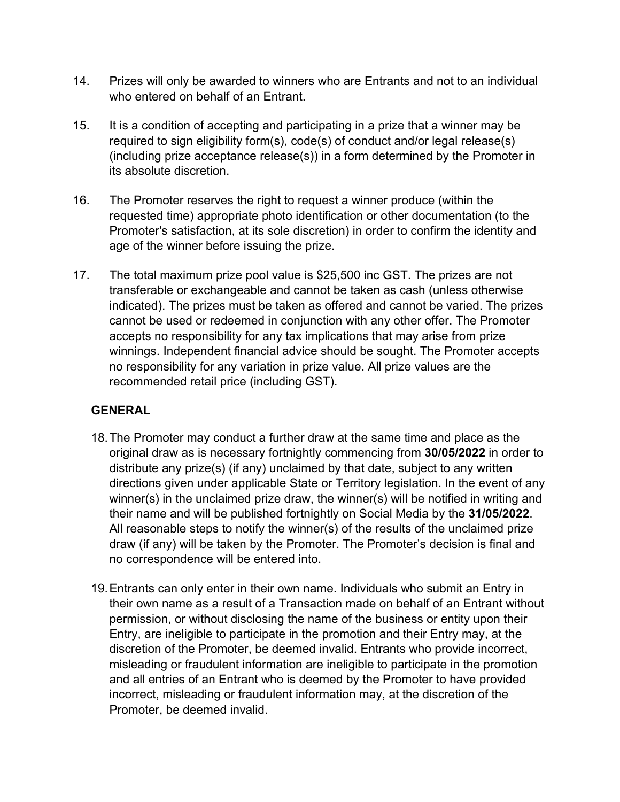- 14. Prizes will only be awarded to winners who are Entrants and not to an individual who entered on behalf of an Entrant.
- 15. It is a condition of accepting and participating in a prize that a winner may be required to sign eligibility form(s), code(s) of conduct and/or legal release(s) (including prize acceptance release(s)) in a form determined by the Promoter in its absolute discretion.
- 16. The Promoter reserves the right to request a winner produce (within the requested time) appropriate photo identification or other documentation (to the Promoter's satisfaction, at its sole discretion) in order to confirm the identity and age of the winner before issuing the prize.
- 17. The total maximum prize pool value is \$25,500 inc GST. The prizes are not transferable or exchangeable and cannot be taken as cash (unless otherwise indicated). The prizes must be taken as offered and cannot be varied. The prizes cannot be used or redeemed in conjunction with any other offer. The Promoter accepts no responsibility for any tax implications that may arise from prize winnings. Independent financial advice should be sought. The Promoter accepts no responsibility for any variation in prize value. All prize values are the recommended retail price (including GST).

## **GENERAL**

- 18.The Promoter may conduct a further draw at the same time and place as the original draw as is necessary fortnightly commencing from **30/05/2022** in order to distribute any prize(s) (if any) unclaimed by that date, subject to any written directions given under applicable State or Territory legislation. In the event of any winner(s) in the unclaimed prize draw, the winner(s) will be notified in writing and their name and will be published fortnightly on Social Media by the **31/05/2022**. All reasonable steps to notify the winner(s) of the results of the unclaimed prize draw (if any) will be taken by the Promoter. The Promoter's decision is final and no correspondence will be entered into.
- 19.Entrants can only enter in their own name. Individuals who submit an Entry in their own name as a result of a Transaction made on behalf of an Entrant without permission, or without disclosing the name of the business or entity upon their Entry, are ineligible to participate in the promotion and their Entry may, at the discretion of the Promoter, be deemed invalid. Entrants who provide incorrect, misleading or fraudulent information are ineligible to participate in the promotion and all entries of an Entrant who is deemed by the Promoter to have provided incorrect, misleading or fraudulent information may, at the discretion of the Promoter, be deemed invalid.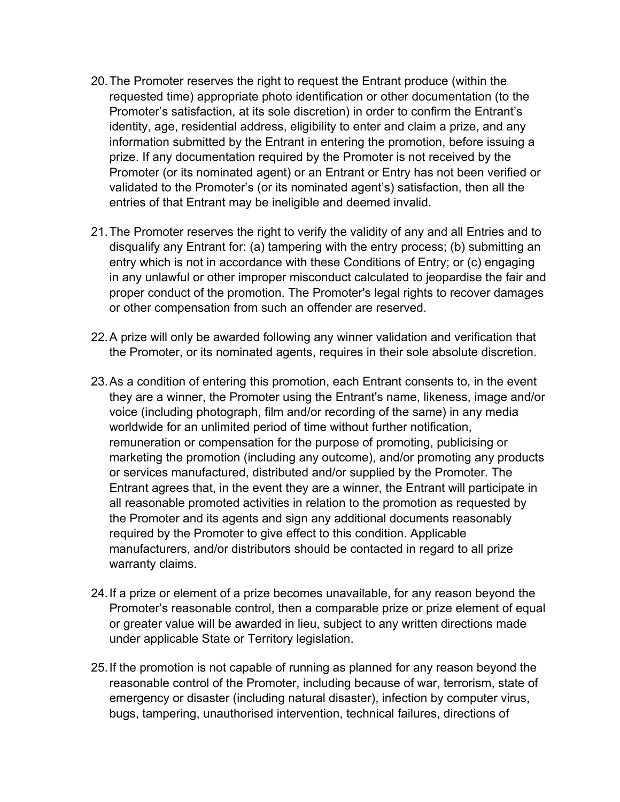- 20.The Promoter reserves the right to request the Entrant produce (within the requested time) appropriate photo identification or other documentation (to the Promoter's satisfaction, at its sole discretion) in order to confirm the Entrant's identity, age, residential address, eligibility to enter and claim a prize, and any information submitted by the Entrant in entering the promotion, before issuing a prize. If any documentation required by the Promoter is not received by the Promoter (or its nominated agent) or an Entrant or Entry has not been verified or validated to the Promoter's (or its nominated agent's) satisfaction, then all the entries of that Entrant may be ineligible and deemed invalid.
- 21.The Promoter reserves the right to verify the validity of any and all Entries and to disqualify any Entrant for: (a) tampering with the entry process; (b) submitting an entry which is not in accordance with these Conditions of Entry; or (c) engaging in any unlawful or other improper misconduct calculated to jeopardise the fair and proper conduct of the promotion. The Promoter's legal rights to recover damages or other compensation from such an offender are reserved.
- 22.A prize will only be awarded following any winner validation and verification that the Promoter, or its nominated agents, requires in their sole absolute discretion.
- 23.As a condition of entering this promotion, each Entrant consents to, in the event they are a winner, the Promoter using the Entrant's name, likeness, image and/or voice (including photograph, film and/or recording of the same) in any media worldwide for an unlimited period of time without further notification, remuneration or compensation for the purpose of promoting, publicising or marketing the promotion (including any outcome), and/or promoting any products or services manufactured, distributed and/or supplied by the Promoter. The Entrant agrees that, in the event they are a winner, the Entrant will participate in all reasonable promoted activities in relation to the promotion as requested by the Promoter and its agents and sign any additional documents reasonably required by the Promoter to give effect to this condition. Applicable manufacturers, and/or distributors should be contacted in regard to all prize warranty claims.
- 24.If a prize or element of a prize becomes unavailable, for any reason beyond the Promoter's reasonable control, then a comparable prize or prize element of equal or greater value will be awarded in lieu, subject to any written directions made under applicable State or Territory legislation.
- 25.If the promotion is not capable of running as planned for any reason beyond the reasonable control of the Promoter, including because of war, terrorism, state of emergency or disaster (including natural disaster), infection by computer virus, bugs, tampering, unauthorised intervention, technical failures, directions of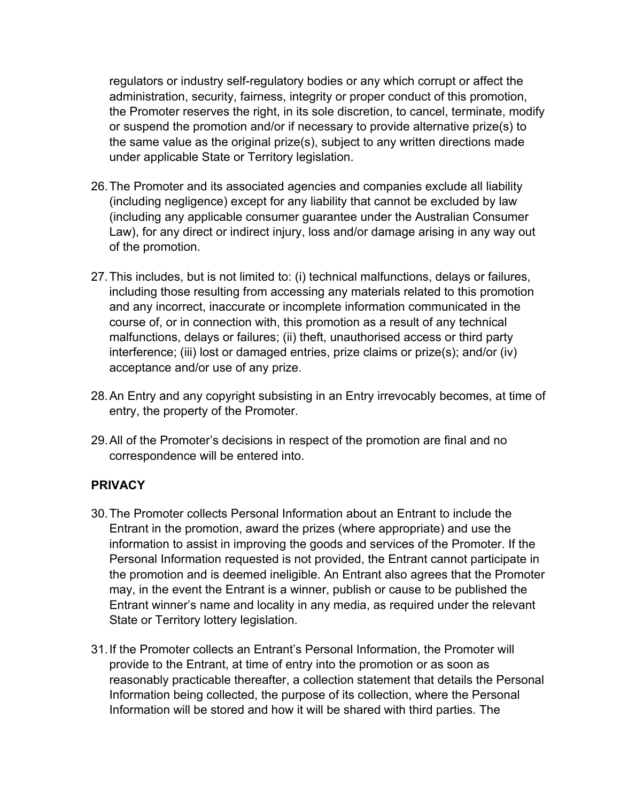regulators or industry self-regulatory bodies or any which corrupt or affect the administration, security, fairness, integrity or proper conduct of this promotion, the Promoter reserves the right, in its sole discretion, to cancel, terminate, modify or suspend the promotion and/or if necessary to provide alternative prize(s) to the same value as the original prize(s), subject to any written directions made under applicable State or Territory legislation.

- 26.The Promoter and its associated agencies and companies exclude all liability (including negligence) except for any liability that cannot be excluded by law (including any applicable consumer guarantee under the Australian Consumer Law), for any direct or indirect injury, loss and/or damage arising in any way out of the promotion.
- 27.This includes, but is not limited to: (i) technical malfunctions, delays or failures, including those resulting from accessing any materials related to this promotion and any incorrect, inaccurate or incomplete information communicated in the course of, or in connection with, this promotion as a result of any technical malfunctions, delays or failures; (ii) theft, unauthorised access or third party interference; (iii) lost or damaged entries, prize claims or prize(s); and/or (iv) acceptance and/or use of any prize.
- 28.An Entry and any copyright subsisting in an Entry irrevocably becomes, at time of entry, the property of the Promoter.
- 29.All of the Promoter's decisions in respect of the promotion are final and no correspondence will be entered into.

## **PRIVACY**

- 30.The Promoter collects Personal Information about an Entrant to include the Entrant in the promotion, award the prizes (where appropriate) and use the information to assist in improving the goods and services of the Promoter. If the Personal Information requested is not provided, the Entrant cannot participate in the promotion and is deemed ineligible. An Entrant also agrees that the Promoter may, in the event the Entrant is a winner, publish or cause to be published the Entrant winner's name and locality in any media, as required under the relevant State or Territory lottery legislation.
- 31.If the Promoter collects an Entrant's Personal Information, the Promoter will provide to the Entrant, at time of entry into the promotion or as soon as reasonably practicable thereafter, a collection statement that details the Personal Information being collected, the purpose of its collection, where the Personal Information will be stored and how it will be shared with third parties. The